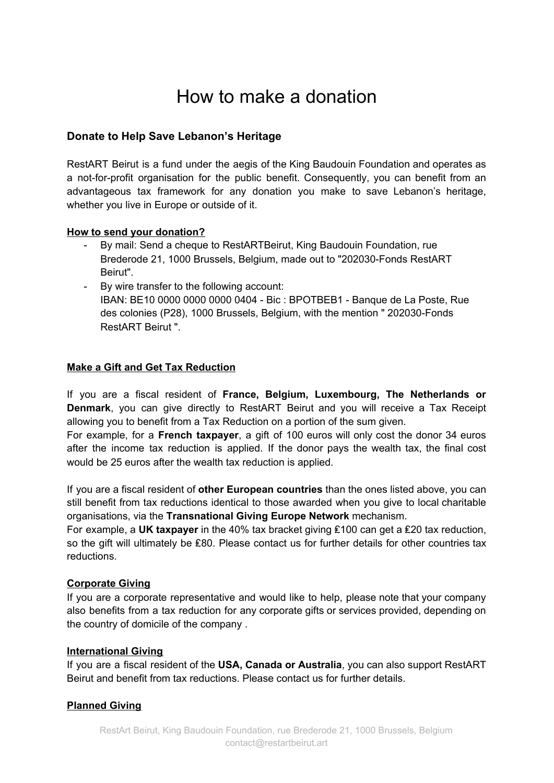# How to make a donation

# **Donate to Help Save Lebanon's Heritage**

RestART Beirut is a fund under the aegis of the King Baudouin Foundation and operates as a not-for-profit organisation for the public benefit. Consequently, you can benefit from an advantageous tax framework for any donation you make to save Lebanon's heritage, whether you live in Europe or outside of it.

# **How to send your donation?**

- By mail: Send a cheque to RestARTBeirut, King Baudouin Foundation, rue Brederode 21, 1000 Brussels, Belgium, made out to "202030-Fonds RestART Beirut".
- By wire transfer to the following account: IBAN: BE10 0000 0000 0000 0404 - Bic : BPOTBEB1 - Banque de La Poste, Rue des colonies (P28), 1000 Brussels, Belgium, with the mention " 202030-Fonds RestART Beirut ".

# **Make a Gift and Get Tax Reduction**

If you are a fiscal resident of **France, Belgium, Luxembourg, The Netherlands or Denmark**, you can give directly to RestART Beirut and you will receive a Tax Receipt allowing you to benefit from a Tax Reduction on a portion of the sum given.

For example, for a **French taxpayer**, a gift of 100 euros will only cost the donor 34 euros after the income tax reduction is applied. If the donor pays the wealth tax, the final cost would be 25 euros after the wealth tax reduction is applied.

If you are a fiscal resident of **other European countries** than the ones listed above, you can still benefit from tax reductions identical to those awarded when you give to local charitable organisations, via the **Transnational Giving Europe Network** mechanism.

For example, a **UK taxpayer** in the 40% tax bracket giving ₤100 can get a ₤20 tax reduction, so the gift will ultimately be £80. Please contact us for further details for other countries tax reductions.

### **Corporate Giving**

If you are a corporate representative and would like to help, please note that your company also benefits from a tax reduction for any corporate gifts or services provided, depending on the country of domicile of the company .

### **International Giving**

If you are a fiscal resident of the **USA, Canada or Australia**, you can also support RestART Beirut and benefit from tax reductions. Please contact us for further details.

### **Planned Giving**